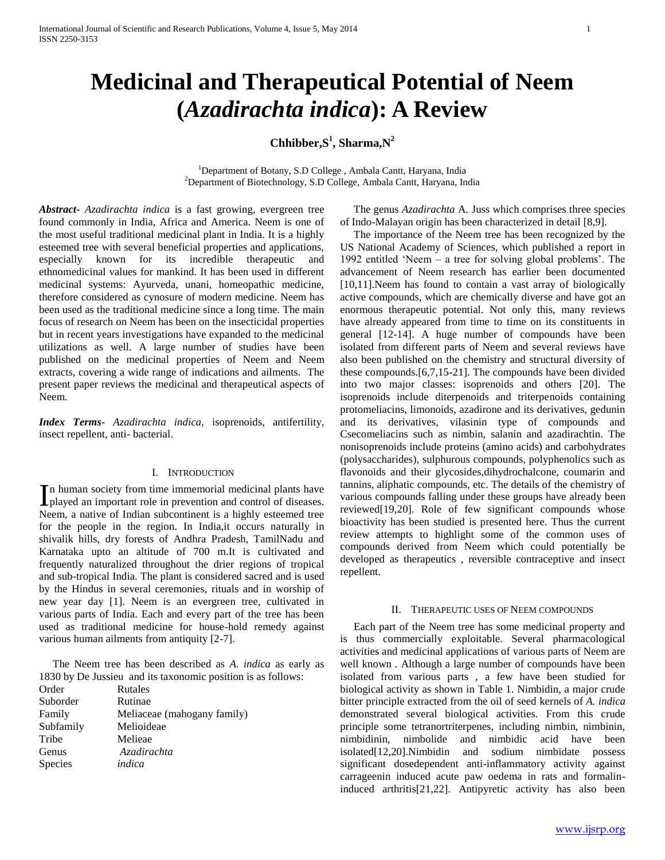# **Medicinal and Therapeutical Potential of Neem (***Azadirachta indica***): A Review**

# **Chhibber,S<sup>1</sup> , Sharma,N<sup>2</sup>**

<sup>1</sup>Department of Botany, S.D College, Ambala Cantt, Haryana, India <sup>2</sup>Department of Biotechnology, S.D College, Ambala Cantt, Haryana, India

*Abstract***-** *Azadirachta indica* is a fast growing, evergreen tree found commonly in India, Africa and America. Neem is one of the most useful traditional medicinal plant in India. It is a highly esteemed tree with several beneficial properties and applications, especially known for its incredible therapeutic and ethnomedicinal values for mankind. It has been used in different medicinal systems: Ayurveda, unani, homeopathic medicine, therefore considered as cynosure of modern medicine. Neem has been used as the traditional medicine since a long time. The main focus of research on Neem has been on the insecticidal properties but in recent years investigations have expanded to the medicinal utilizations as well. A large number of studies have been published on the medicinal properties of Neem and Neem extracts, covering a wide range of indications and ailments. The present paper reviews the medicinal and therapeutical aspects of Neem.

*Index Terms*- *Azadirachta indica,* isoprenoids, antifertility, insect repellent, anti- bacterial.

# I. INTRODUCTION

n human society from time immemorial medicinal plants have In human society from time immemorial medicinal plants have<br>played an important role in prevention and control of diseases. Neem, a native of Indian subcontinent is a highly esteemed tree for the people in the region. In India,it occurs naturally in shivalik hills, dry forests of Andhra Pradesh, TamilNadu and Karnataka upto an altitude of 700 m.It is cultivated and frequently naturalized throughout the drier regions of tropical and sub-tropical India. The plant is considered sacred and is used by the Hindus in several ceremonies, rituals and in worship of new year day [1]. Neem is an evergreen tree, cultivated in various parts of India. Each and every part of the tree has been used as traditional medicine for house-hold remedy against various human ailments from antiquity [2-7].

 The Neem tree has been described as *A. indica* as early as 1830 by De Jussieu and its taxonomic position is as follows:

| Order     | Rutales                     |
|-----------|-----------------------------|
| Suborder  | Rutinae                     |
| Family    | Meliaceae (mahogany family) |
| Subfamily | Melioideae                  |
| Tribe     | Melieae                     |
| Genus     | Azadirachta                 |
| Species   | indica                      |

 The genus *Azadirachta* A. Juss which comprises three species of Indo-Malayan origin has been characterized in detail [8,9].

 The importance of the Neem tree has been recognized by the US National Academy of Sciences, which published a report in 1992 entitled 'Neem – a tree for solving global problems'. The advancement of Neem research has earlier been documented [10,11]. Neem has found to contain a vast array of biologically active compounds, which are chemically diverse and have got an enormous therapeutic potential. Not only this, many reviews have already appeared from time to time on its constituents in general [12-14]. A huge number of compounds have been isolated from different parts of Neem and several reviews have also been published on the chemistry and structural diversity of these compounds.[6,7,15-21]. The compounds have been divided into two major classes: isoprenoids and others [20]. The isoprenoids include diterpenoids and triterpenoids containing protomeliacins, limonoids, azadirone and its derivatives, gedunin and its derivatives, vilasinin type of compounds and Csecomeliacins such as nimbin, salanin and azadirachtin. The nonisoprenoids include proteins (amino acids) and carbohydrates (polysaccharides), sulphurous compounds, polyphenolics such as flavonoids and their glycosides,dihydrochalcone, coumarin and tannins, aliphatic compounds, etc. The details of the chemistry of various compounds falling under these groups have already been reviewed[19,20]. Role of few significant compounds whose bioactivity has been studied is presented here. Thus the current review attempts to highlight some of the common uses of compounds derived from Neem which could potentially be developed as therapeutics , reversible contraceptive and insect repellent.

#### II. THERAPEUTIC USES OF NEEM COMPOUNDS

 Each part of the Neem tree has some medicinal property and is thus commercially exploitable. Several pharmacological activities and medicinal applications of various parts of Neem are well known . Although a large number of compounds have been isolated from various parts , a few have been studied for biological activity as shown in Table 1. Nimbidin, a major crude bitter principle extracted from the oil of seed kernels of *A. indica*  demonstrated several biological activities. From this crude principle some tetranortriterpenes, including nimbin, nimbinin, nimbidinin, nimbolide and nimbidic acid have been isolated[12,20].Nimbidin and sodium nimbidate possess significant dosedependent anti-inflammatory activity against carrageenin induced acute paw oedema in rats and formalininduced arthritis[21,22]. Antipyretic activity has also been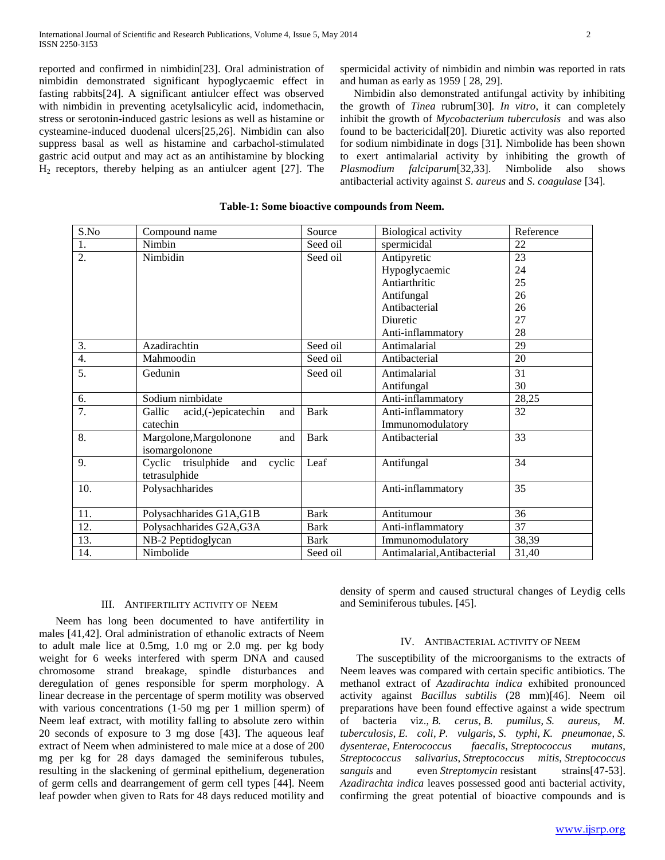reported and confirmed in nimbidin[23]. Oral administration of nimbidin demonstrated significant hypoglycaemic effect in fasting rabbits[24]. A significant antiulcer effect was observed with nimbidin in preventing acetylsalicylic acid, indomethacin, stress or serotonin-induced gastric lesions as well as histamine or cysteamine-induced duodenal ulcers[25,26]. Nimbidin can also suppress basal as well as histamine and carbachol-stimulated gastric acid output and may act as an antihistamine by blocking  $H<sub>2</sub>$  receptors, thereby helping as an antiulcer agent [27]. The

spermicidal activity of nimbidin and nimbin was reported in rats and human as early as 1959 [ 28, 29].

 Nimbidin also demonstrated antifungal activity by inhibiting the growth of *Tinea* rubrum[30]. *In vitro*, it can completely inhibit the growth of *Mycobacterium tuberculosis* and was also found to be bactericidal[20]. Diuretic activity was also reported for sodium nimbidinate in dogs [31]. Nimbolide has been shown to exert antimalarial activity by inhibiting the growth of *Plasmodium falciparum*[32,33]. Nimbolide also shows antibacterial activity against *S*. *aureus* and *S*. *coagulase* [34].

| S.No             | Compound name                        | Source      | <b>Biological activity</b>  | Reference |
|------------------|--------------------------------------|-------------|-----------------------------|-----------|
| $\frac{1}{2}$ .  | Nimbin                               | Seed oil    | spermicidal                 | 22        |
|                  | Nimbidin                             | Seed oil    | Antipyretic                 | 23        |
|                  |                                      |             | Hypoglycaemic               | 24        |
|                  |                                      |             | Antiarthritic               | 25        |
|                  |                                      |             | Antifungal                  | 26        |
|                  |                                      |             | Antibacterial               | 26        |
|                  |                                      |             | Diuretic                    | 27        |
|                  |                                      |             | Anti-inflammatory           | 28        |
| $\frac{3}{4}$ .  | Azadirachtin                         | Seed oil    | Antimalarial                | 29        |
|                  | Mahmoodin                            | Seed oil    | Antibacterial               | 20        |
| $\overline{5}$ . | Gedunin                              | Seed oil    | Antimalarial                | 31        |
|                  |                                      |             | Antifungal                  | 30        |
| 6.               | Sodium nimbidate                     |             | Anti-inflammatory           | 28,25     |
| $\overline{7}$ . | acid,(-)epicatechin<br>Gallic<br>and | <b>Bark</b> | Anti-inflammatory           | 32        |
|                  | catechin                             |             | Immunomodulatory            |           |
| $\overline{8}$ . | Margolone, Margolonone<br>and        | <b>Bark</b> | Antibacterial               | 33        |
|                  | isomargolonone                       |             |                             |           |
| 9.               | Cyclic trisulphide<br>and<br>cyclic  | Leaf        | Antifungal                  | 34        |
|                  | tetrasulphide                        |             |                             |           |
| 10.              | Polysachharides                      |             | Anti-inflammatory           | 35        |
|                  |                                      |             |                             |           |
| 11.              | Polysachharides G1A,G1B              | <b>Bark</b> | Antitumour                  | 36        |
| 12.              | Polysachharides G2A, G3A             | <b>Bark</b> | Anti-inflammatory           | 37        |
| 13.              | NB-2 Peptidoglycan                   | Bark        | Immunomodulatory            | 38,39     |
| 14.              | Nimbolide                            | Seed oil    | Antimalarial, Antibacterial | 31,40     |

# **Table-1: Some bioactive compounds from Neem.**

#### III. ANTIFERTILITY ACTIVITY OF NEEM

 Neem has long been documented to have antifertility in males [41,42]. Oral administration of ethanolic extracts of Neem to adult male lice at 0.5mg, 1.0 mg or 2.0 mg. per kg body weight for 6 weeks interfered with sperm DNA and caused chromosome strand breakage, spindle disturbances and deregulation of genes responsible for sperm morphology. A linear decrease in the percentage of sperm motility was observed with various concentrations (1-50 mg per 1 million sperm) of Neem leaf extract, with motility falling to absolute zero within 20 seconds of exposure to 3 mg dose [43]. The aqueous leaf extract of Neem when administered to male mice at a dose of 200 mg per kg for 28 days damaged the seminiferous tubules, resulting in the slackening of germinal epithelium, degeneration of germ cells and dearrangement of germ cell types [44]. Neem leaf powder when given to Rats for 48 days reduced motility and

density of sperm and caused structural changes of Leydig cells and Seminiferous tubules. [45].

#### IV. ANTIBACTERIAL ACTIVITY OF NEEM

 The susceptibility of the microorganisms to the extracts of Neem leaves was compared with certain specific antibiotics. The methanol extract of *Azadirachta indica* exhibited pronounced activity against *Bacillus subtilis* (28 mm)[46]. Neem oil preparations have been found effective against a wide spectrum of bacteria viz., *B. cerus*, *B. pumilus*, *S. aureus, M. tuberculosis*, *E. coli*, *P. vulgaris*, *S. typhi*, *K. pneumonae*, *S. dysenterae*, *Enterococcus faecalis*, *Streptococcus mutans*, *Streptococcus salivarius*, *Streptococcus mitis*, *Streptococcus sanguis* and even *Streptomycin* resistant strains[47-53]. *Azadirachta indica* leaves possessed good anti bacterial activity, confirming the great potential of bioactive compounds and is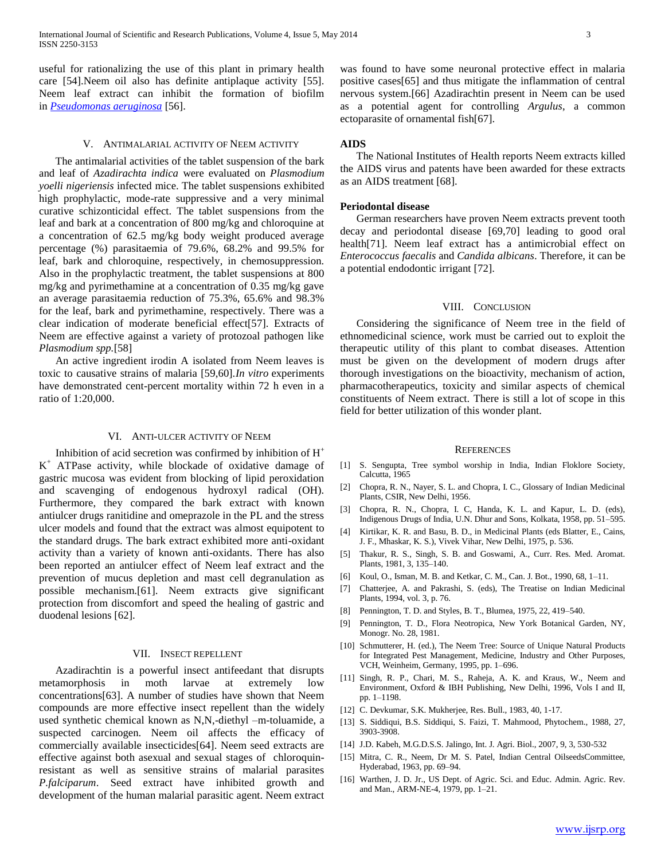useful for rationalizing the use of this plant in primary health care [54].Neem oil also has definite antiplaque activity [55]. Neem leaf extract can inhibit the formation of biofilm in *[Pseudomonas aeruginosa](http://www.scialert.net/asci/result.php?searchin=Keywords&cat=&ascicat=ALL&Submit=Search&keyword=Pseudomonas+aeruginosa)* [56].

# V. ANTIMALARIAL ACTIVITY OF NEEM ACTIVITY

 The antimalarial activities of the tablet suspension of the bark and leaf of *Azadirachta indica* were evaluated on *Plasmodium yoelli nigeriensis* infected mice. The tablet suspensions exhibited high prophylactic, mode-rate suppressive and a very minimal curative schizonticidal effect. The tablet suspensions from the leaf and bark at a concentration of 800 mg/kg and chloroquine at a concentration of 62.5 mg/kg body weight produced average percentage (%) parasitaemia of 79.6%, 68.2% and 99.5% for leaf, bark and chloroquine, respectively, in chemosuppression. Also in the prophylactic treatment, the tablet suspensions at 800 mg/kg and pyrimethamine at a concentration of 0.35 mg/kg gave an average parasitaemia reduction of 75.3%, 65.6% and 98.3% for the leaf, bark and pyrimethamine, respectively. There was a clear indication of moderate beneficial effect[57]. Extracts of Neem are effective against a variety of protozoal pathogen like *Plasmodium spp.*[58]

 An active ingredient irodin A isolated from Neem leaves is toxic to causative strains of malaria [59,60].*In vitro* experiments have demonstrated cent-percent mortality within 72 h even in a ratio of 1:20,000.

# VI. ANTI-ULCER ACTIVITY OF NEEM

Inhibition of acid secretion was confirmed by inhibition of  $H^+$ K <sup>+</sup> ATPase activity, while blockade of oxidative damage of gastric mucosa was evident from blocking of lipid peroxidation and scavenging of endogenous hydroxyl radical (OH). Furthermore, they compared the bark extract with known antiulcer drugs ranitidine and omeprazole in the PL and the stress ulcer models and found that the extract was almost equipotent to the standard drugs. The bark extract exhibited more anti-oxidant activity than a variety of known anti-oxidants. There has also been reported an antiulcer effect of Neem leaf extract and the prevention of mucus depletion and mast cell degranulation as possible mechanism.[61]. Neem extracts give significant protection from discomfort and speed the healing of gastric and duodenal lesions [62].

# VII. INSECT REPELLENT

 Azadirachtin is a powerful insect antifeedant that disrupts metamorphosis in moth larvae at extremely low concentrations[63]. A number of studies have shown that Neem compounds are more effective insect repellent than the widely used synthetic chemical known as N,N,-diethyl –m-toluamide, a suspected carcinogen. Neem oil affects the efficacy of commercially available insecticides[64]. Neem seed extracts are effective against both asexual and sexual stages of chloroquinresistant as well as sensitive strains of malarial parasites *P.falciparum*. Seed extract have inhibited growth and development of the human malarial parasitic agent. Neem extract

was found to have some neuronal protective effect in malaria positive cases[65] and thus mitigate the inflammation of central nervous system.[66] Azadirachtin present in Neem can be used as a potential agent for controlling *Argulus*, a common ectoparasite of ornamental fish[67].

# **AIDS**

 The National Institutes of Health reports Neem extracts killed the AIDS virus and patents have been awarded for these extracts as an AIDS treatment [68].

# **Periodontal disease**

 German researchers have proven Neem extracts prevent tooth decay and periodontal disease [69,70] leading to good oral health[71]. Neem leaf extract has a antimicrobial effect on *Enterococcus faecalis* and *Candida albicans*. Therefore, it can be a potential endodontic irrigant [72].

### VIII. CONCLUSION

 Considering the significance of Neem tree in the field of ethnomedicinal science, work must be carried out to exploit the therapeutic utility of this plant to combat diseases. Attention must be given on the development of modern drugs after thorough investigations on the bioactivity, mechanism of action, pharmacotherapeutics, toxicity and similar aspects of chemical constituents of Neem extract. There is still a lot of scope in this field for better utilization of this wonder plant.

#### **REFERENCES**

- [1] S. Sengupta, Tree symbol worship in India, Indian Floklore Society, Calcutta, 1965
- [2] Chopra, R. N., Nayer, S. L. and Chopra, I. C., Glossary of Indian Medicinal Plants, CSIR, New Delhi, 1956.
- [3] Chopra, R. N., Chopra, I. C, Handa, K. L. and Kapur, L. D. (eds), Indigenous Drugs of India, U.N. Dhur and Sons, Kolkata, 1958, pp. 51–595.
- [4] Kirtikar, K. R. and Basu, B. D., in Medicinal Plants (eds Blatter, E., Cains, J. F., Mhaskar, K. S.), Vivek Vihar, New Delhi, 1975, p. 536.
- [5] Thakur, R. S., Singh, S. B. and Goswami, A., Curr. Res. Med. Aromat. Plants, 1981, 3, 135–140.
- [6] Koul, O., Isman, M. B. and Ketkar, C. M., Can. J. Bot., 1990, 68, 1–11.
- [7] Chatterjee, A. and Pakrashi, S. (eds), The Treatise on Indian Medicinal Plants, 1994, vol. 3, p. 76.
- [8] Pennington, T. D. and Styles, B. T., Blumea, 1975, 22, 419–540.
- [9] Pennington, T. D., Flora Neotropica, New York Botanical Garden, NY, Monogr. No. 28, 1981.
- [10] Schmutterer, H. (ed.), The Neem Tree: Source of Unique Natural Products for Integrated Pest Management, Medicine, Industry and Other Purposes, VCH, Weinheim, Germany, 1995, pp. 1–696.
- [11] Singh, R. P., Chari, M. S., Raheja, A. K. and Kraus, W., Neem and Environment, Oxford & IBH Publishing, New Delhi, 1996, Vols I and II, pp. 1–1198.
- [12] C. Devkumar, S.K. Mukherjee, Res. Bull., 1983, 40, 1-17.
- [13] S. Siddiqui, B.S. Siddiqui, S. Faizi, T. Mahmood, Phytochem., 1988, 27, 3903-3908.
- [14] J.D. Kabeh, M.G.D.S.S. Jalingo, Int. J. Agri. Biol., 2007, 9, 3, 530-532
- [15] Mitra, C. R., Neem, Dr M. S. Patel, Indian Central OilseedsCommittee, Hyderabad, 1963, pp. 69–94.
- [16] Warthen, J. D. Jr., US Dept. of Agric. Sci. and Educ. Admin. Agric. Rev. and Man., ARM-NE-4, 1979, pp. 1–21.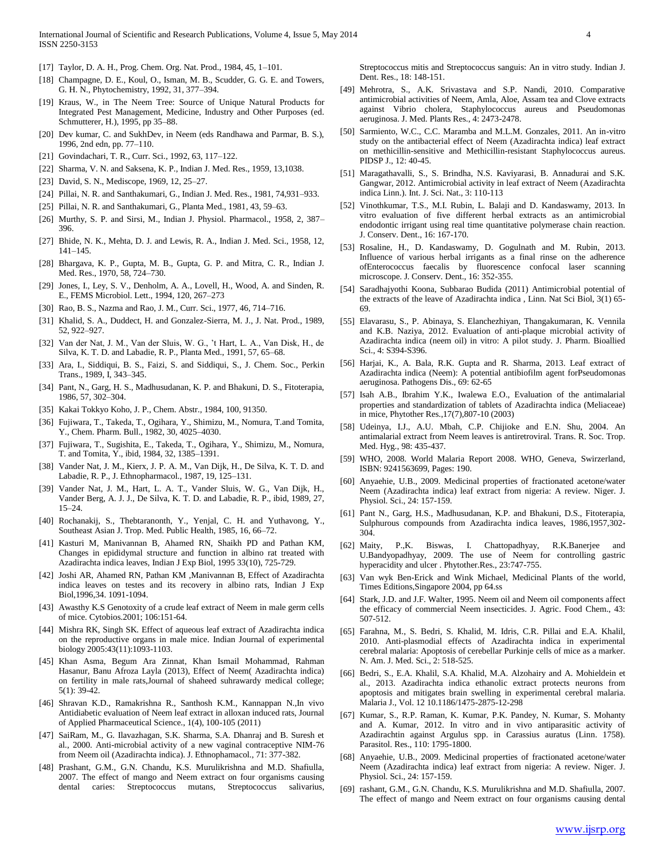- [17] Taylor, D. A. H., Prog. Chem. Org. Nat. Prod., 1984, 45, 1–101.
- [18] Champagne, D. E., Koul, O., Isman, M. B., Scudder, G. G. E. and Towers, G. H. N., Phytochemistry, 1992, 31, 377–394.
- [19] Kraus, W., in The Neem Tree: Source of Unique Natural Products for Integrated Pest Management, Medicine, Industry and Other Purposes (ed. Schmutterer, H.), 1995, pp 35–88.
- [20] Dev kumar, C. and SukhDev, in Neem (eds Randhawa and Parmar, B. S.), 1996, 2nd edn, pp. 77–110.
- [21] Govindachari, T. R., Curr. Sci., 1992, 63, 117–122.
- [22] Sharma, V. N. and Saksena, K. P., Indian J. Med. Res., 1959, 13,1038.
- [23] David, S. N., Mediscope, 1969, 12, 25–27.
- [24] Pillai, N. R. and Santhakumari, G., Indian J. Med. Res., 1981, 74,931–933.
- [25] Pillai, N. R. and Santhakumari, G., Planta Med., 1981, 43, 59–63.
- [26] Murthy, S. P. and Sirsi, M., Indian J. Physiol. Pharmacol., 1958, 2, 387– 396.
- [27] Bhide, N. K., Mehta, D. J. and Lewis, R. A., Indian J. Med. Sci., 1958, 12, 141–145.
- [28] Bhargava, K. P., Gupta, M. B., Gupta, G. P. and Mitra, C. R., Indian J. Med. Res., 1970, 58, 724–730.
- [29] Jones, I., Ley, S. V., Denholm, A. A., Lovell, H., Wood, A. and Sinden, R. E., FEMS Microbiol. Lett., 1994, 120, 267–273
- [30] Rao, B. S., Nazma and Rao, J. M., Curr. Sci., 1977, 46, 714–716.
- [31] Khalid, S. A., Duddect, H. and Gonzalez-Sierra, M. J., J. Nat. Prod., 1989, 52, 922–927.
- [32] Van der Nat, J. M., Van der Sluis, W. G., 't Hart, L. A., Van Disk, H., de Silva, K. T. D. and Labadie, R. P., Planta Med., 1991, 57, 65–68.
- [33] Ara, I., Siddiqui, B. S., Faizi, S. and Siddiqui, S., J. Chem. Soc., Perkin Trans., 1989, I, 343–345.
- [34] Pant, N., Garg, H. S., Madhusudanan, K. P. and Bhakuni, D. S., Fitoterapia, 1986, 57, 302–304.
- [35] Kakai Tokkyo Koho, J. P., Chem. Abstr., 1984, 100, 91350.
- [36] Fujiwara, T., Takeda, T., Ogihara, Y., Shimizu, M., Nomura, T.and Tomita, Y., Chem. Pharm. Bull., 1982, 30, 4025–4030.
- [37] Fujiwara, T., Sugishita, E., Takeda, T., Ogihara, Y., Shimizu, M., Nomura, T. and Tomita, Y., ibid, 1984, 32, 1385–1391.
- [38] Vander Nat, J. M., Kierx, J. P. A. M., Van Dijk, H., De Silva, K. T. D. and Labadie, R. P., J. Ethnopharmacol., 1987, 19, 125–131.
- [39] Vander Nat, J. M., Hart, L. A. T., Vander Sluis, W. G., Van Dijk, H., Vander Berg, A. J. J., De Silva, K. T. D. and Labadie, R. P., ibid, 1989, 27, 15–24.
- [40] Rochanakij, S., Thebtaranonth, Y., Yenjal, C. H. and Yuthavong, Y., Southeast Asian J. Trop. Med. Public Health, 1985, 16, 66–72.
- [41] Kasturi M, Manivannan B, Ahamed RN, Shaikh PD and Pathan KM, Changes in epididymal structure and function in albino rat treated with Azadirachta indica leaves, Indian J Exp Biol, 1995 33(10), 725-729.
- [42] Joshi AR, Ahamed RN, Pathan KM ,Manivannan B, Effect of Azadirachta indica leaves on testes and its recovery in albino rats, Indian J Exp Biol,1996,34. 1091-1094.
- [43] Awasthy K.S Genotoxity of a crude leaf extract of Neem in male germ cells of mice. Cytobios.2001; 106:151-64.
- [44] Mishra RK, Singh SK. Effect of aqueous leaf extract of Azadirachta indica on the reproductive organs in male mice. Indian Journal of experimental biology 2005:43(11):1093-1103.
- [45] Khan Asma, Begum Ara Zinnat, Khan Ismail Mohammad, Rahman Hasanur, Banu Afroza Layla (2013), Effect of Neem( Azadirachta indica) on fertility in male rats,Journal of shaheed suhrawardy medical college; 5(1): 39-42.
- [46] Shravan K.D., Ramakrishna R., Santhosh K.M., Kannappan N.,In vivo Antidiabetic evaluation of Neem leaf extract in alloxan induced rats, Journal of Applied Pharmaceutical Science., 1(4), 100-105 (2011)
- [47] SaiRam, M., G. Ilavazhagan, S.K. Sharma, S.A. Dhanraj and B. Suresh et al., 2000. Anti-microbial activity of a new vaginal contraceptive NIM-76 from Neem oil (Azadirachta indica). J. Ethnophamacol., 71: 377-382.
- [48] Prashant, G.M., G.N. Chandu, K.S. Murulikrishna and M.D. Shafiulla, 2007. The effect of mango and Neem extract on four organisms causing dental caries: Streptococcus mutans, Streptococcus salivarius,

Streptococcus mitis and Streptococcus sanguis: An in vitro study. Indian J. Dent. Res., 18: 148-151.

- [49] Mehrotra, S., A.K. Srivastava and S.P. Nandi, 2010. Comparative antimicrobial activities of Neem, Amla, Aloe, Assam tea and Clove extracts against Vibrio cholera, Staphylococcus aureus and Pseudomonas aeruginosa. J. Med. Plants Res., 4: 2473-2478.
- [50] Sarmiento, W.C., C.C. Maramba and M.L.M. Gonzales, 2011. An in-vitro study on the antibacterial effect of Neem (Azadirachta indica) leaf extract on methicillin-sensitive and Methicillin-resistant Staphylococcus aureus. PIDSP J., 12: 40-45.
- [51] Maragathavalli, S., S. Brindha, N.S. Kaviyarasi, B. Annadurai and S.K. Gangwar, 2012. Antimicrobial activity in leaf extract of Neem (Azadirachta indica Linn.). Int. J. Sci. Nat., 3: 110-113
- [52] Vinothkumar, T.S., M.I. Rubin, L. Balaji and D. Kandaswamy, 2013. In vitro evaluation of five different herbal extracts as an antimicrobial endodontic irrigant using real time quantitative polymerase chain reaction. J. Conserv. Dent., 16: 167-170.
- [53] Rosaline, H., D. Kandaswamy, D. Gogulnath and M. Rubin, 2013. Influence of various herbal irrigants as a final rinse on the adherence ofEnterococcus faecalis by fluorescence confocal laser scanning microscope. J. Conserv. Dent., 16: 352-355.
- [54] Saradhajyothi Koona, Subbarao Budida (2011) Antimicrobial potential of the extracts of the leave of Azadirachta indica , Linn. Nat Sci Biol, 3(1) 65- 69.
- [55] Elavarasu, S., P. Abinaya, S. Elanchezhiyan, Thangakumaran, K. Vennila and K.B. Naziya, 2012. Evaluation of anti-plaque microbial activity of Azadirachta indica (neem oil) in vitro: A pilot study. J. Pharm. Bioallied Sci., 4: S394-S396.
- [56] Harjai, K., A. Bala, R.K. Gupta and R. Sharma, 2013. Leaf extract of Azadirachta indica (Neem): A potential antibiofilm agent forPseudomonas aeruginosa. Pathogens Dis., 69: 62-65
- [57] Isah A.B., Ibrahim Y.K., Iwalewa E.O., Evaluation of the antimalarial properties and standardization of tablets of Azadirachta indica (Meliaceae) in mice, Phytother Res.,17(7),807-10 (2003)
- [58] Udeinya, I.J., A.U. Mbah, C.P. Chijioke and E.N. Shu, 2004. An antimalarial extract from Neem leaves is antiretroviral. Trans. R. Soc. Trop. Med. Hyg., 98: 435-437.
- [59] WHO, 2008. World Malaria Report 2008. WHO, Geneva, Swirzerland, ISBN: 9241563699, Pages: 190.
- [60] Anyaehie, U.B., 2009. Medicinal properties of fractionated acetone/water Neem (Azadirachta indica) leaf extract from nigeria: A review. Niger. J. Physiol. Sci., 24: 157-159.
- [61] Pant N., Garg, H.S., Madhusudanan, K.P. and Bhakuni, D.S., Fitoterapia, Sulphurous compounds from Azadirachta indica leaves, 1986,1957,302- 304.
- [62] Maity, P.,K. Biswas, I. Chattopadhyay, R.K.Banerjee and U.Bandyopadhyay, 2009. The use of Neem for controlling gastric hyperacidity and ulcer . Phytother.Res., 23:747-755.
- [63] Van wyk Ben-Erick and Wink Michael, Medicinal Plants of the world, Times Editions,Singapore 2004, pp 64.ss
- [64] Stark, J.D. and J.F. Walter, 1995. Neem oil and Neem oil components affect the efficacy of commercial Neem insecticides. J. Agric. Food Chem., 43: 507-512.
- [65] Farahna, M., S. Bedri, S. Khalid, M. Idris, C.R. Pillai and E.A. Khalil, 2010. Anti-plasmodial effects of Azadirachta indica in experimental cerebral malaria: Apoptosis of cerebellar Purkinje cells of mice as a marker. N. Am. J. Med. Sci., 2: 518-525.
- [66] Bedri, S., E.A. Khalil, S.A. Khalid, M.A. Alzohairy and A. Mohieldein et al., 2013. Azadirachta indica ethanolic extract protects neurons from apoptosis and mitigates brain swelling in experimental cerebral malaria. Malaria J., Vol. 12 10.1186/1475-2875-12-298
- [67] Kumar, S., R.P. Raman, K. Kumar, P.K. Pandey, N. Kumar, S. Mohanty and A. Kumar, 2012. In vitro and in vivo antiparasitic activity of Azadirachtin against Argulus spp. in Carassius auratus (Linn. 1758). Parasitol. Res., 110: 1795-1800.
- [68] Anyaehie, U.B., 2009. Medicinal properties of fractionated acetone/water Neem (Azadirachta indica) leaf extract from nigeria: A review. Niger. J. Physiol. Sci., 24: 157-159.
- [69] rashant, G.M., G.N. Chandu, K.S. Murulikrishna and M.D. Shafiulla, 2007. The effect of mango and Neem extract on four organisms causing dental